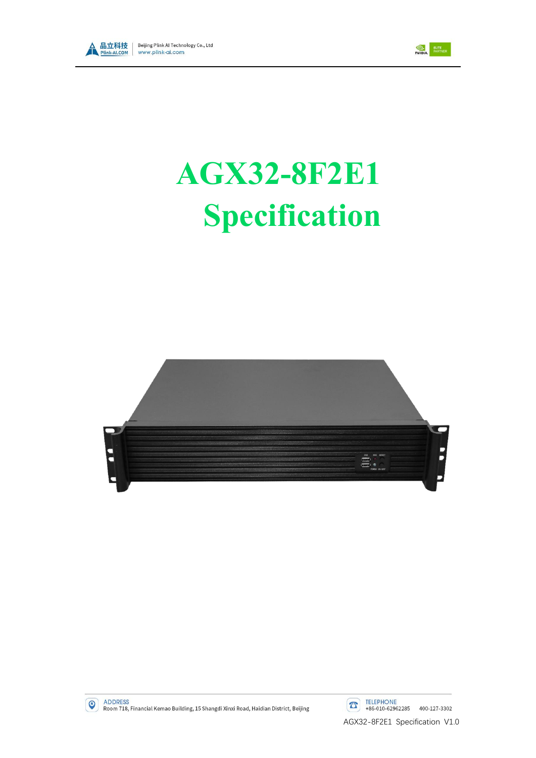



# **AGX32-8F2E1 Specification**





ADDRESS<br>Room 718, Financial Kemao Building, 15 Shangdi Xinxi Road, Haidian District, Beijing

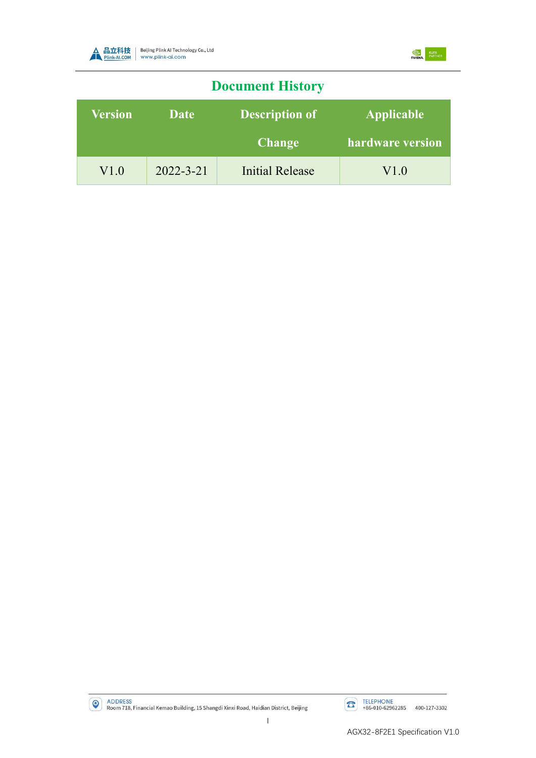



# **Document History**

| <b>Version</b> | Date            | <b>Description of</b> | <b>Applicable</b> |  |
|----------------|-----------------|-----------------------|-------------------|--|
|                |                 | <b>Change</b>         | hardware version  |  |
| V1.0           | $2022 - 3 - 21$ | Initial Release       | V1.0              |  |

ADDRESS<br>Room 718, Financial Kemao Building, 15 Shangdi Xinxi Road, Haidian District, Beijing

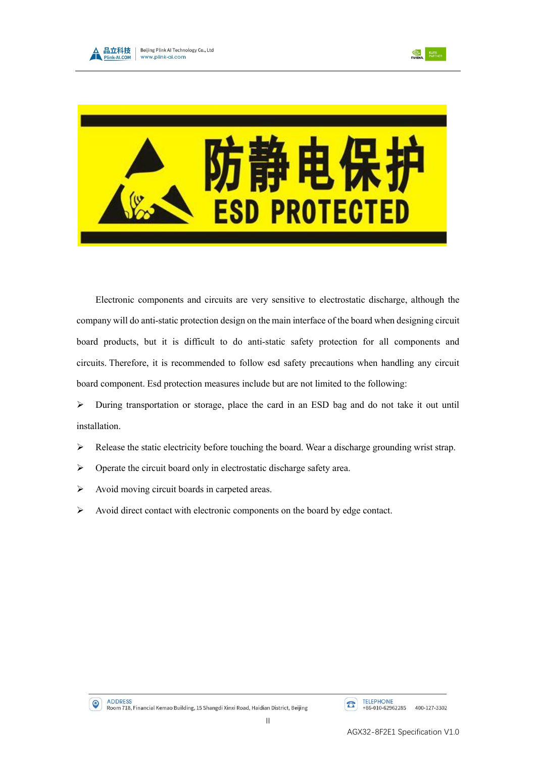





Electronic components and circuits are very sensitive to electrostatic discharge, although the company will do anti-static protection design on the main interface of the board when designing circuit board products, but it is difficult to do anti-static safety protection for all components and circuits. Therefore, it is recommended to follow esd safety precautions when handling any circuit board component. Esd protection measures include but are not limited to the following:

➢ During transportation or storage, place the card in an ESD bag and do not take it out until installation.

- $\triangleright$  Release the static electricity before touching the board. Wear a discharge grounding wrist strap.
- ➢ Operate the circuit board only in electrostatic discharge safety area.
- ➢ Avoid moving circuit boards in carpeted areas.
- ➢ Avoid direct contact with electronic components on the board by edge contact.

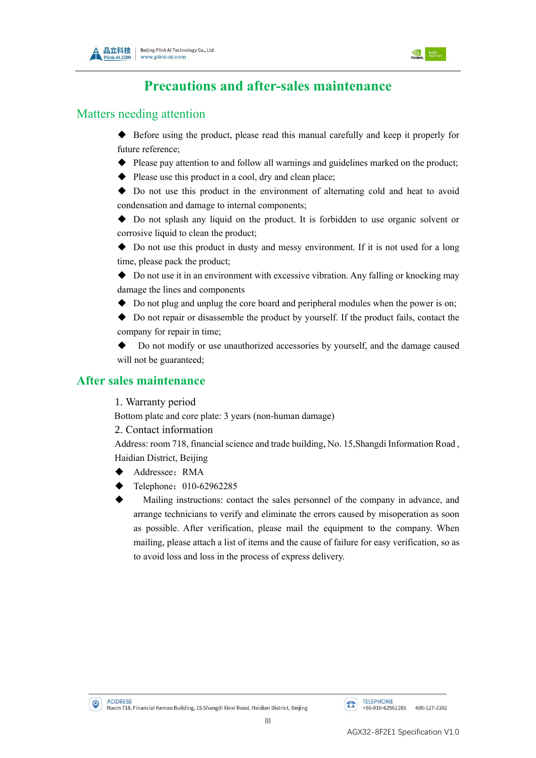



## **Precautions and after-sales maintenance**

#### Matters needing attention

- ◆ Before using the product, please read this manual carefully and keep it properly for future reference;
- ◆ Please pay attention to and follow all warnings and guidelines marked on the product;
- ◆ Please use this product in a cool, dry and clean place;

◆ Do not use this product in the environment of alternating cold and heat to avoid condensation and damage to internal components;

◆ Do not splash any liquid on the product. It is forbidden to use organic solvent or corrosive liquid to clean the product:

◆ Do not use this product in dusty and messy environment. If it is not used for a long time, please pack the product;

◆ Do not use it in an environment with excessive vibration. Any falling or knocking may damage the lines and components

◆ Do not plug and unplug the core board and peripheral modules when the power is on;

◆ Do not repair or disassemble the product by yourself. If the product fails, contact the company for repair in time;

Do not modify or use unauthorized accessories by yourself, and the damage caused will not be guaranteed;

#### **After sales maintenance**

1. Warranty period

Bottom plate and core plate: 3 years (non-human damage)

2. Contact information

Address: room 718, financial science and trade building, No. 15,Shangdi Information Road , Haidian District, Beijing

- Addressee: RMA
- Telephone: 010-62962285
- Mailing instructions: contact the sales personnel of the company in advance, and arrange technicians to verify and eliminate the errors caused by misoperation as soon as possible. After verification, please mail the equipment to the company. When mailing, please attach a list of items and the cause of failure for easy verification, so as to avoid loss and loss in the process of express delivery.

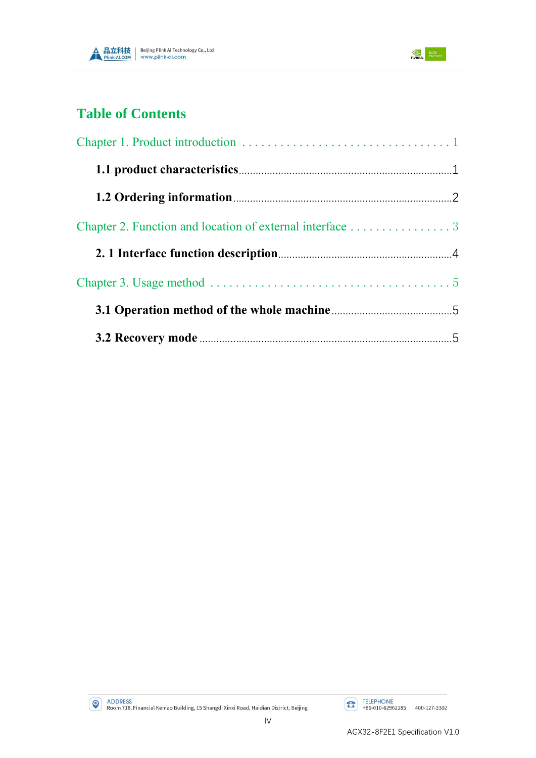



## **Table of Contents**

| Chapter 2. Function and location of external interface 3 |  |
|----------------------------------------------------------|--|
|                                                          |  |
|                                                          |  |
|                                                          |  |
|                                                          |  |

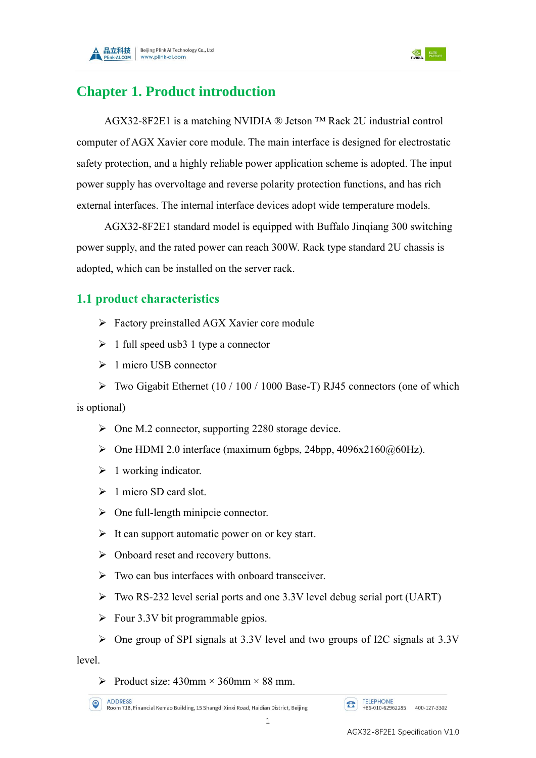

# <span id="page-5-0"></span>**Chapter 1. Product introduction**

AGX32-8F2E1 is a matching NVIDIA ® Jetson ™ Rack 2U industrial control computer of AGX Xavier core module. The main interface is designed for electrostatic safety protection, and a highly reliable power application scheme is adopted. The input power supply has overvoltage and reverse polarity protection functions, and has rich external interfaces. The internal interface devices adopt wide temperature models.

AGX32-8F2E1 standard model is equipped with Buffalo Jinqiang 300 switching power supply, and the rated power can reach 300W. Rack type standard 2U chassis is adopted, which can be installed on the server rack.

## <span id="page-5-1"></span>**1.1 product characteristics**

- ➢ Factory preinstalled AGX Xavier core module
- $\geq 1$  full speed usb 3 1 type a connector
- ➢ 1 micro USB connector
- $\triangleright$  Two Gigabit Ethernet (10 / 100 / 1000 Base-T) RJ45 connectors (one of which

is optional)

- ➢ One M.2 connector, supporting 2280 storage device.
- $\triangleright$  One HDMI 2.0 interface (maximum 6gbps, 24bpp, 4096x2160 $@60Hz$ ).
- $\triangleright$  1 working indicator.
- $\geq 1$  micro SD card slot.
- $\triangleright$  One full-length minipcie connector.
- $\triangleright$  It can support automatic power on or key start.
- ➢ Onboard reset and recovery buttons.
- $\triangleright$  Two can bus interfaces with onboard transceiver.
- ➢ Two RS-232 level serial ports and one 3.3V level debug serial port (UART)
- $\triangleright$  Four 3.3V bit programmable gpios.
- ➢ One group of SPI signals at 3.3V level and two groups of I2C signals at 3.3V

level.

 $\triangleright$  Product size: 430mm × 360mm × 88 mm.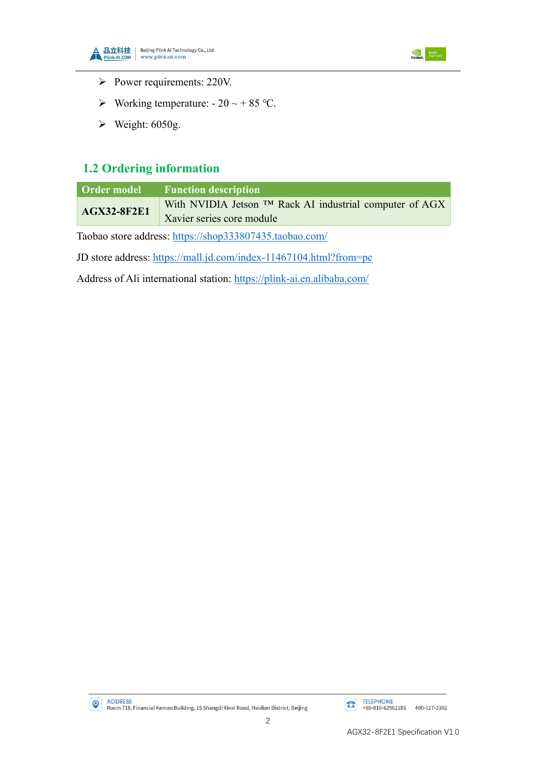



- ➢ Power requirements: 220V.
- $\triangleright$  Working temperature: 20 ~ + 85 °C.
- $\blacktriangleright$  Weight: 6050g.

## <span id="page-6-0"></span>**1.2 Ordering information**

| Order model        | <b>Function description</b>                                |
|--------------------|------------------------------------------------------------|
| <b>AGX32-8F2E1</b> | With NVIDIA Jetson $TM$ Rack AI industrial computer of AGX |
|                    | Xavier series core module                                  |

Taobao store address: <https://shop333807435.taobao.com/>

JD store address: <https://mall.jd.com/index-11467104.html?from=pc>

Address of Ali international station: https://plink-ai.en.alibaba.com/



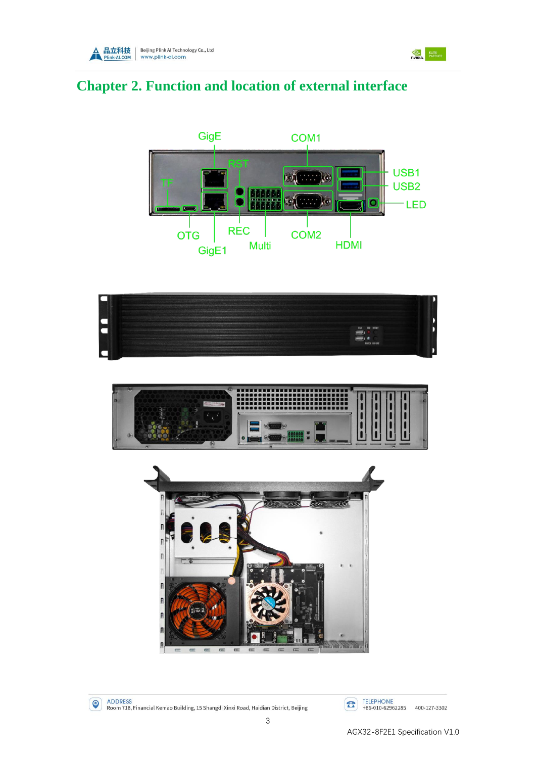



# <span id="page-7-0"></span>**Chapter 2. Function and location of external interface**











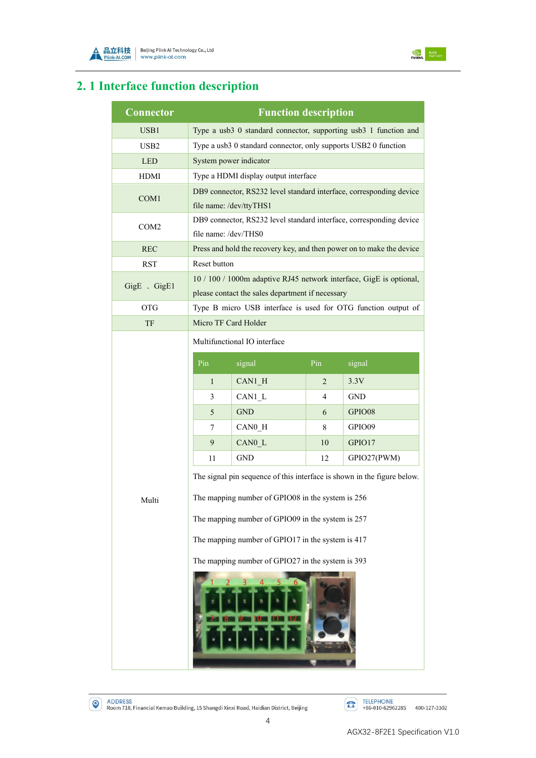



# <span id="page-8-0"></span>**2. 1 Interface function description**

| <b>Connector</b> | <b>Function description</b>                                                                                                  |            |                |                                                                  |  |  |
|------------------|------------------------------------------------------------------------------------------------------------------------------|------------|----------------|------------------------------------------------------------------|--|--|
| USB1             |                                                                                                                              |            |                | Type a usb3 0 standard connector, supporting usb3 1 function and |  |  |
| USB <sub>2</sub> | Type a usb3 0 standard connector, only supports USB2 0 function                                                              |            |                |                                                                  |  |  |
| <b>LED</b>       | System power indicator                                                                                                       |            |                |                                                                  |  |  |
| <b>HDMI</b>      | Type a HDMI display output interface                                                                                         |            |                |                                                                  |  |  |
| COM1             | DB9 connector, RS232 level standard interface, corresponding device<br>file name: /dev/ttyTHS1                               |            |                |                                                                  |  |  |
| COM <sub>2</sub> | DB9 connector, RS232 level standard interface, corresponding device<br>file name: /dev/THS0                                  |            |                |                                                                  |  |  |
| <b>REC</b>       | Press and hold the recovery key, and then power on to make the device                                                        |            |                |                                                                  |  |  |
| <b>RST</b>       | Reset button                                                                                                                 |            |                |                                                                  |  |  |
| GigE 、GigE1      | 10 / 100 / 1000m adaptive RJ45 network interface, GigE is optional,<br>please contact the sales department if necessary      |            |                |                                                                  |  |  |
| <b>OTG</b>       | Type B micro USB interface is used for OTG function output of                                                                |            |                |                                                                  |  |  |
| TF               | Micro TF Card Holder                                                                                                         |            |                |                                                                  |  |  |
|                  | Multifunctional IO interface                                                                                                 |            |                |                                                                  |  |  |
|                  | Pin                                                                                                                          | signal     | Pin            | signal                                                           |  |  |
|                  | $\mathbf{1}$                                                                                                                 | CAN1 H     | $\overline{2}$ | 3.3V                                                             |  |  |
|                  | 3                                                                                                                            | CAN1 L     | 4              | <b>GND</b>                                                       |  |  |
|                  | 5                                                                                                                            | <b>GND</b> | 6              | GPIO08                                                           |  |  |
|                  | 7                                                                                                                            | CAN0 H     | 8              | GPIO09                                                           |  |  |
|                  | 9                                                                                                                            | CAN0 L     | 10             | GPIO17                                                           |  |  |
|                  | 11                                                                                                                           | <b>GND</b> | 12             | GPIO27(PWM)                                                      |  |  |
| Multi            | The signal pin sequence of this interface is shown in the figure below.<br>The mapping number of GPIO08 in the system is 256 |            |                |                                                                  |  |  |
|                  | The mapping number of GPIO09 in the system is 257                                                                            |            |                |                                                                  |  |  |
|                  | The mapping number of GPIO17 in the system is 417                                                                            |            |                |                                                                  |  |  |
|                  | The mapping number of GPIO27 in the system is 393                                                                            |            |                |                                                                  |  |  |